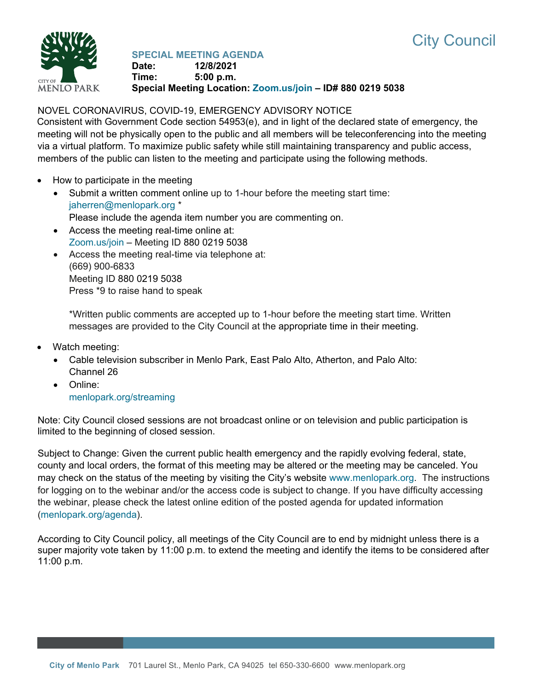



**SPECIAL MEETING AGENDA Date: 12/8/2021 Time: 5:00 p.m. Special Meeting Location: [Zoom.us/join](https://zoom.us/join) – ID# 880 0219 5038**

# NOVEL CORONAVIRUS, COVID-19, EMERGENCY ADVISORY NOTICE

Consistent with Government Code section 54953(e), and in light of the declared state of emergency, the meeting will not be physically open to the public and all members will be teleconferencing into the meeting via a virtual platform. To maximize public safety while still maintaining transparency and public access, members of the public can listen to the meeting and participate using the following methods.

- How to participate in the meeting
	- Submit a written comment online up to 1-hour before the meeting start time: [jaherren@menlopark.org](mailto:jaherren@menlopark.org?subject=November%209,%202021%20City%20Council%20meeting%20public%20comment) \* Please include the agenda item number you are commenting on.
	- Access the meeting real-time online at: [Zoom.us/join](https://zoom.us/join) – Meeting ID 880 0219 5038
	- Access the meeting real-time via telephone at: (669) 900-6833 Meeting ID 880 0219 5038 Press \*9 to raise hand to speak

\*Written public comments are accepted up to 1-hour before the meeting start time. Written messages are provided to the City Council at the appropriate time in their meeting.

- Watch meeting:
	- Cable television subscriber in Menlo Park, East Palo Alto, Atherton, and Palo Alto: Channel 26
	- Online: [menlopark.org/streaming](https://www.menlopark.org/streaming)

Note: City Council closed sessions are not broadcast online or on television and public participation is limited to the beginning of closed session.

Subject to Change: Given the current public health emergency and the rapidly evolving federal, state, county and local orders, the format of this meeting may be altered or the meeting may be canceled. You may check on the status of the meeting by visiting the City's website [www.menlopark.org.](http://www.menlopark.org/)The instructions for logging on to the webinar and/or the access code is subject to change. If you have difficulty accessing the webinar, please check the latest online edition of the posted agenda for updated information [\(menlopark.org/agenda\)](http://menlopark.org/agenda).

According to City Council policy, all meetings of the City Council are to end by midnight unless there is a super majority vote taken by 11:00 p.m. to extend the meeting and identify the items to be considered after 11:00 p.m.